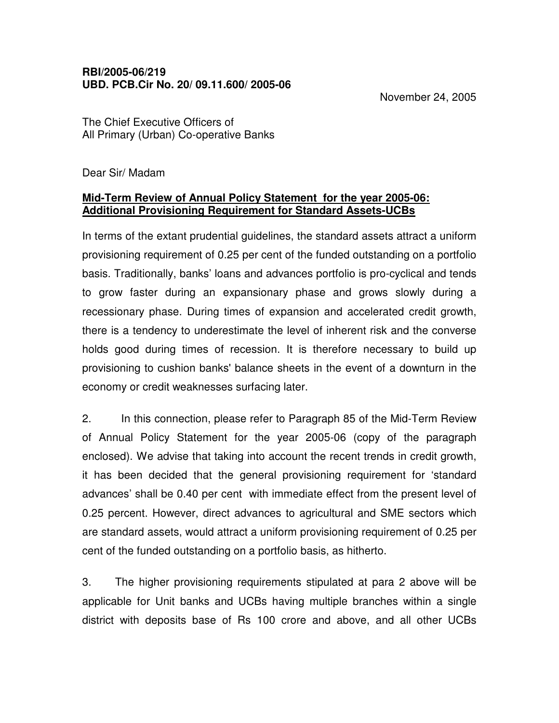November 24, 2005

The Chief Executive Officers of All Primary (Urban) Co-operative Banks

Dear Sir/ Madam

## **Mid-Term Review of Annual Policy Statement for the year 2005-06: Additional Provisioning Requirement for Standard Assets-UCBs**

In terms of the extant prudential guidelines, the standard assets attract a uniform provisioning requirement of 0.25 per cent of the funded outstanding on a portfolio basis. Traditionally, banks' loans and advances portfolio is pro-cyclical and tends to grow faster during an expansionary phase and grows slowly during a recessionary phase. During times of expansion and accelerated credit growth, there is a tendency to underestimate the level of inherent risk and the converse holds good during times of recession. It is therefore necessary to build up provisioning to cushion banks' balance sheets in the event of a downturn in the economy or credit weaknesses surfacing later.

2. In this connection, please refer to Paragraph 85 of the Mid-Term Review of Annual Policy Statement for the year 2005-06 (copy of the paragraph enclosed). We advise that taking into account the recent trends in credit growth, it has been decided that the general provisioning requirement for 'standard advances' shall be 0.40 per cent with immediate effect from the present level of 0.25 percent. However, direct advances to agricultural and SME sectors which are standard assets, would attract a uniform provisioning requirement of 0.25 per cent of the funded outstanding on a portfolio basis, as hitherto.

3. The higher provisioning requirements stipulated at para 2 above will be applicable for Unit banks and UCBs having multiple branches within a single district with deposits base of Rs 100 crore and above, and all other UCBs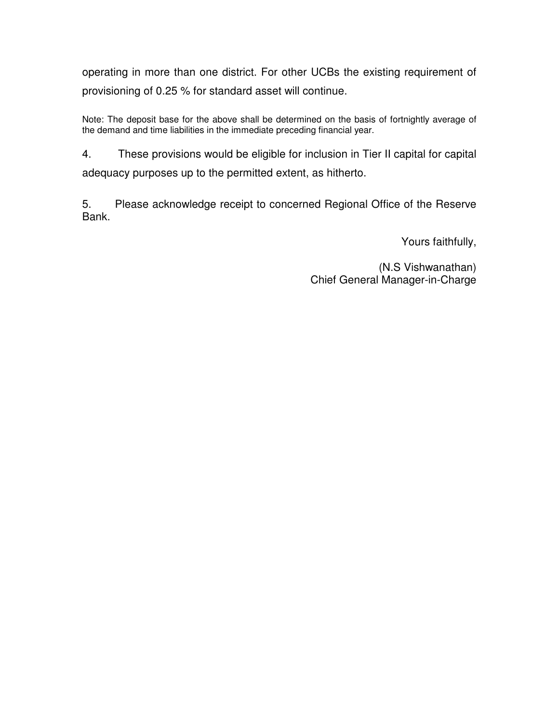operating in more than one district. For other UCBs the existing requirement of provisioning of 0.25 % for standard asset will continue.

Note: The deposit base for the above shall be determined on the basis of fortnightly average of the demand and time liabilities in the immediate preceding financial year.

4. These provisions would be eligible for inclusion in Tier II capital for capital adequacy purposes up to the permitted extent, as hitherto.

5. Please acknowledge receipt to concerned Regional Office of the Reserve Bank.

Yours faithfully,

(N.S Vishwanathan) Chief General Manager-in-Charge